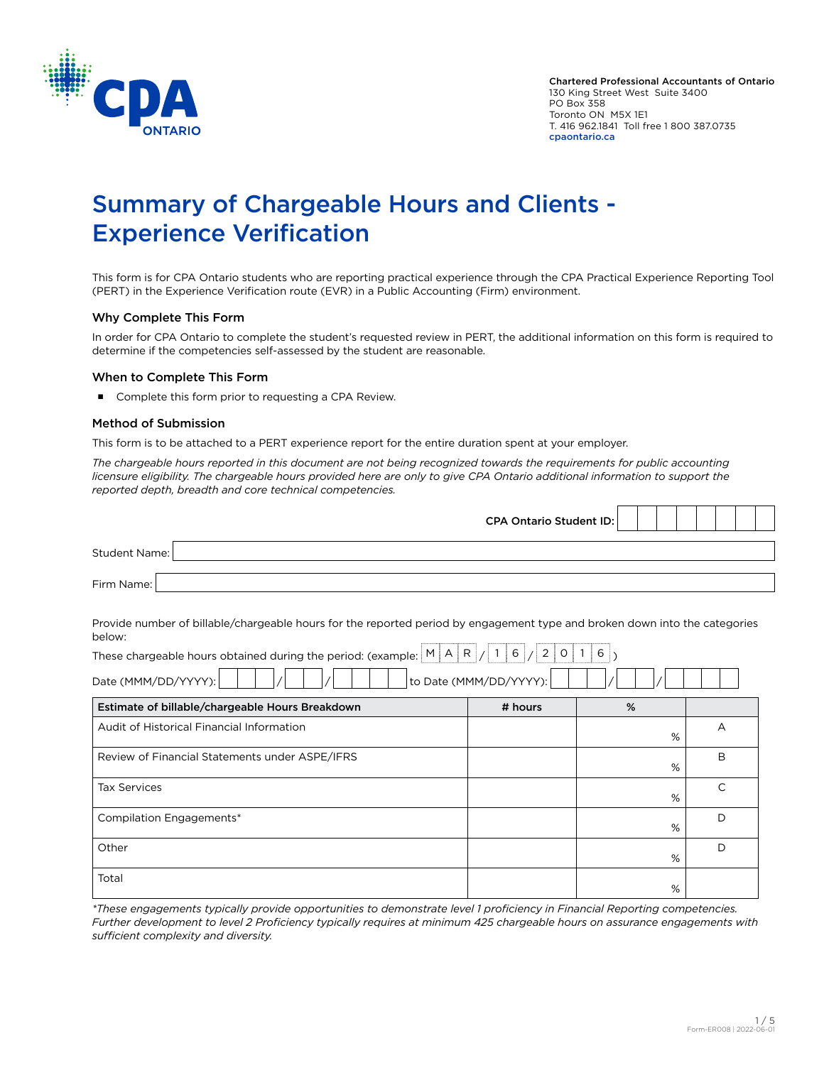

<u> Tanzania de la pro</u>

 $\top$ ┱

# Summary of Chargeable Hours and Clients - Experience Verification

This form is for CPA Ontario students who are reporting practical experience through the CPA Practical Experience Reporting Tool (PERT) in the Experience Verification route (EVR) in a Public Accounting (Firm) environment.

### Why Complete This Form

In order for CPA Ontario to complete the student's requested review in PERT, the additional information on this form is required to determine if the competencies self-assessed by the student are reasonable.

#### When to Complete This Form

Complete this form prior to requesting a CPA Review.

#### Method of Submission

This form is to be attached to a PERT experience report for the entire duration spent at your employer.

*The chargeable hours reported in this document are not being recognized towards the requirements for public accounting licensure eligibility. The chargeable hours provided here are only to give CPA Ontario additional information to support the reported depth, breadth and core technical competencies.*

|                                                                                                                                      | <b>CPA Ontario Student ID:</b> |   |   |
|--------------------------------------------------------------------------------------------------------------------------------------|--------------------------------|---|---|
| <b>Student Name:</b>                                                                                                                 |                                |   |   |
| Firm Name:                                                                                                                           |                                |   |   |
| Provide number of billable/chargeable hours for the reported period by engagement type and broken down into the categories<br>below: |                                |   |   |
| These chargeable hours obtained during the period: (example: $\mathbb{M}  A  R /  I  6 /  2   0   1   6  $ )<br>Date (MMM/DD/YYYY):  | to Date (MMM/DD/YYYY):         |   |   |
| Estimate of billable/chargeable Hours Breakdown                                                                                      | # hours                        | % |   |
| Audit of Historical Financial Information                                                                                            |                                | % | A |
| Review of Financial Statements under ASPE/IFRS                                                                                       |                                | % | B |
| <b>Tax Services</b>                                                                                                                  |                                | % | C |
| Compilation Engagements*                                                                                                             |                                | % | D |
| Other                                                                                                                                |                                | % | D |
| Total                                                                                                                                |                                | % |   |

*\*These engagements typically provide opportunities to demonstrate level 1 proficiency in Financial Reporting competencies. Further development to level 2 Proficiency typically requires at minimum 425 chargeable hours on assurance engagements with sufficient complexity and diversity.*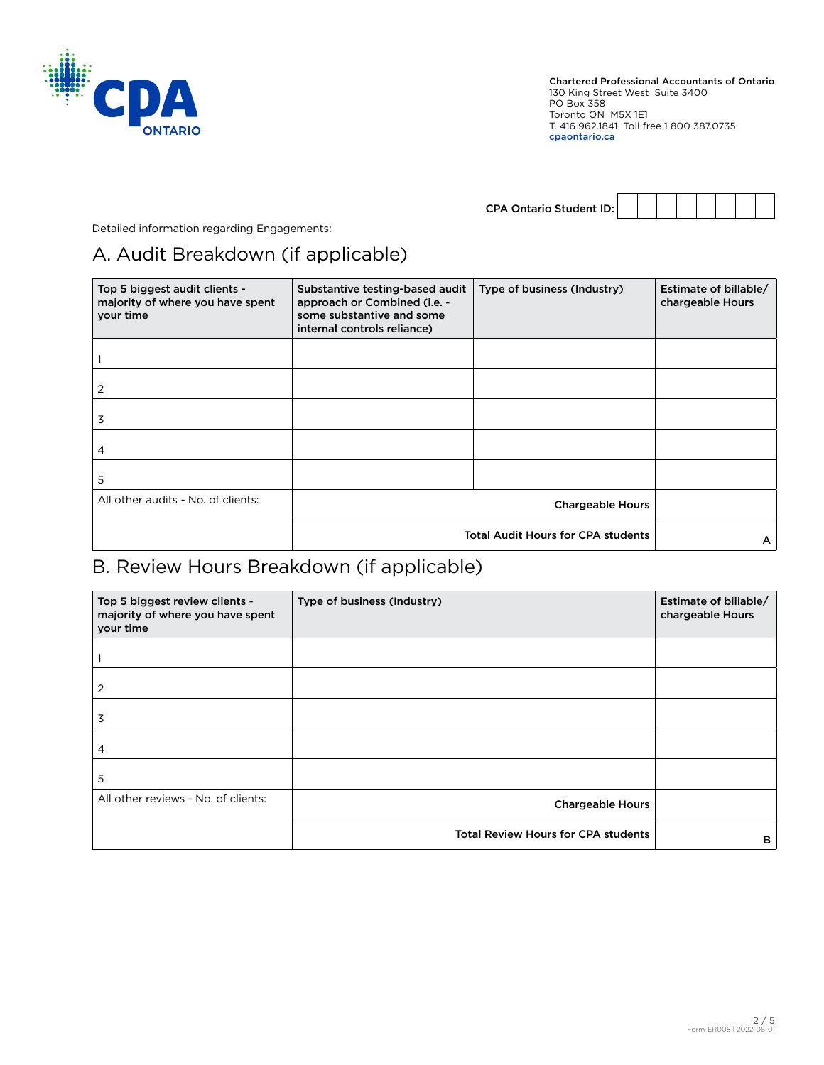

| <b>CPA Ontario Student ID:</b> |  |  |  |  |
|--------------------------------|--|--|--|--|

Detailed information regarding Engagements:

# A. Audit Breakdown (if applicable)

| Top 5 biggest audit clients -<br>majority of where you have spent<br>your time | Substantive testing-based audit<br>approach or Combined (i.e. -<br>some substantive and some<br>internal controls reliance) | Type of business (Industry) | Estimate of billable/<br>chargeable Hours |
|--------------------------------------------------------------------------------|-----------------------------------------------------------------------------------------------------------------------------|-----------------------------|-------------------------------------------|
|                                                                                |                                                                                                                             |                             |                                           |
| 2                                                                              |                                                                                                                             |                             |                                           |
| 3                                                                              |                                                                                                                             |                             |                                           |
| 4                                                                              |                                                                                                                             |                             |                                           |
| 5                                                                              |                                                                                                                             |                             |                                           |
| All other audits - No. of clients:                                             |                                                                                                                             |                             |                                           |
|                                                                                | <b>Total Audit Hours for CPA students</b>                                                                                   | A                           |                                           |

### B. Review Hours Breakdown (if applicable)

| Top 5 biggest review clients -<br>majority of where you have spent<br>your time | Type of business (Industry)                | Estimate of billable/<br>chargeable Hours |
|---------------------------------------------------------------------------------|--------------------------------------------|-------------------------------------------|
|                                                                                 |                                            |                                           |
| 2                                                                               |                                            |                                           |
| 3                                                                               |                                            |                                           |
| 4                                                                               |                                            |                                           |
| 5                                                                               |                                            |                                           |
| All other reviews - No. of clients:                                             | <b>Chargeable Hours</b>                    |                                           |
|                                                                                 | <b>Total Review Hours for CPA students</b> | в                                         |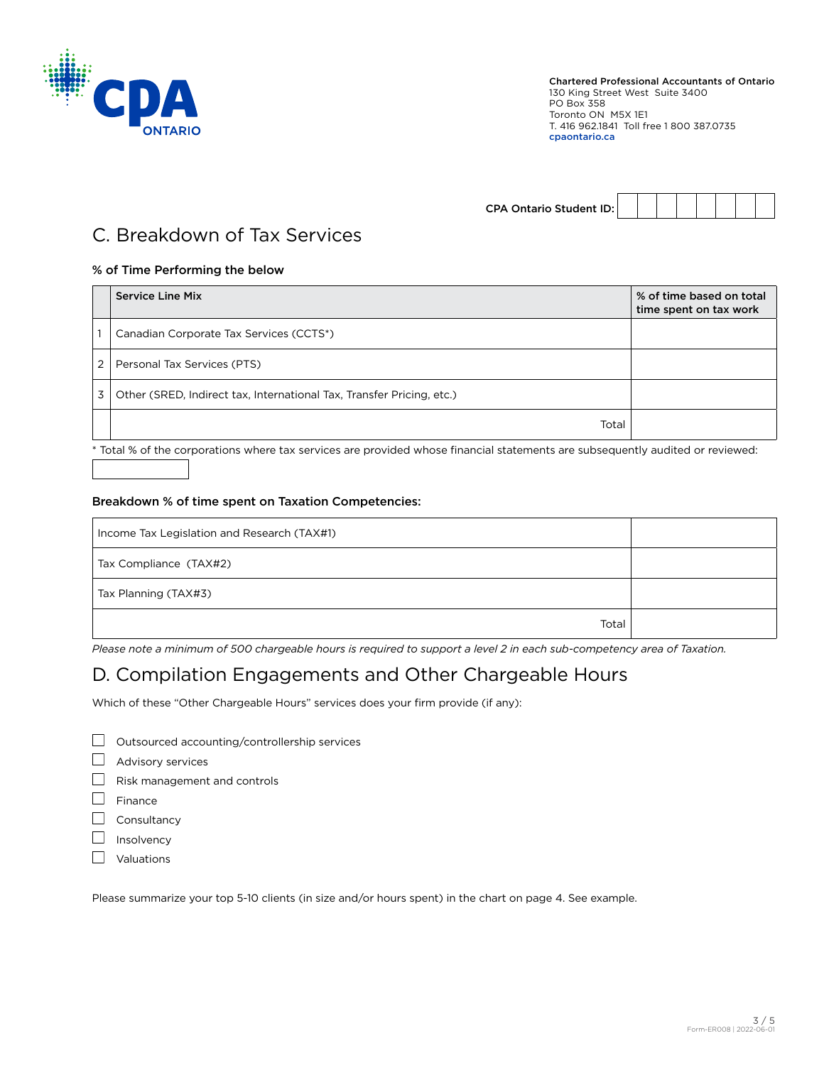

CPA Ontario Student ID:

### C. Breakdown of Tax Services

### % of Time Performing the below

| <b>Service Line Mix</b>                                               | % of time based on total<br>time spent on tax work |
|-----------------------------------------------------------------------|----------------------------------------------------|
| Canadian Corporate Tax Services (CCTS*)                               |                                                    |
| Personal Tax Services (PTS)                                           |                                                    |
| Other (SRED, Indirect tax, International Tax, Transfer Pricing, etc.) |                                                    |
| Total                                                                 |                                                    |

\* Total % of the corporations where tax services are provided whose financial statements are subsequently audited or reviewed:

### Breakdown % of time spent on Taxation Competencies:

| Income Tax Legislation and Research (TAX#1) |  |
|---------------------------------------------|--|
| Tax Compliance (TAX#2)                      |  |
| Tax Planning (TAX#3)                        |  |
| Total                                       |  |

*Please note a minimum of 500 chargeable hours is required to support a level 2 in each sub-competency area of Taxation.*

## D. Compilation Engagements and Other Chargeable Hours

Which of these "Other Chargeable Hours" services does your firm provide (if any):

- $\Box$  Outsourced accounting/controllership services
- Advisory services

 $\Box$  Risk management and controls

- $\Box$  Finance
- $\Box$  Consultancy
- $\Box$  Insolvency
- **D** Valuations

Please summarize your top 5-10 clients (in size and/or hours spent) in the chart on page 4. See example.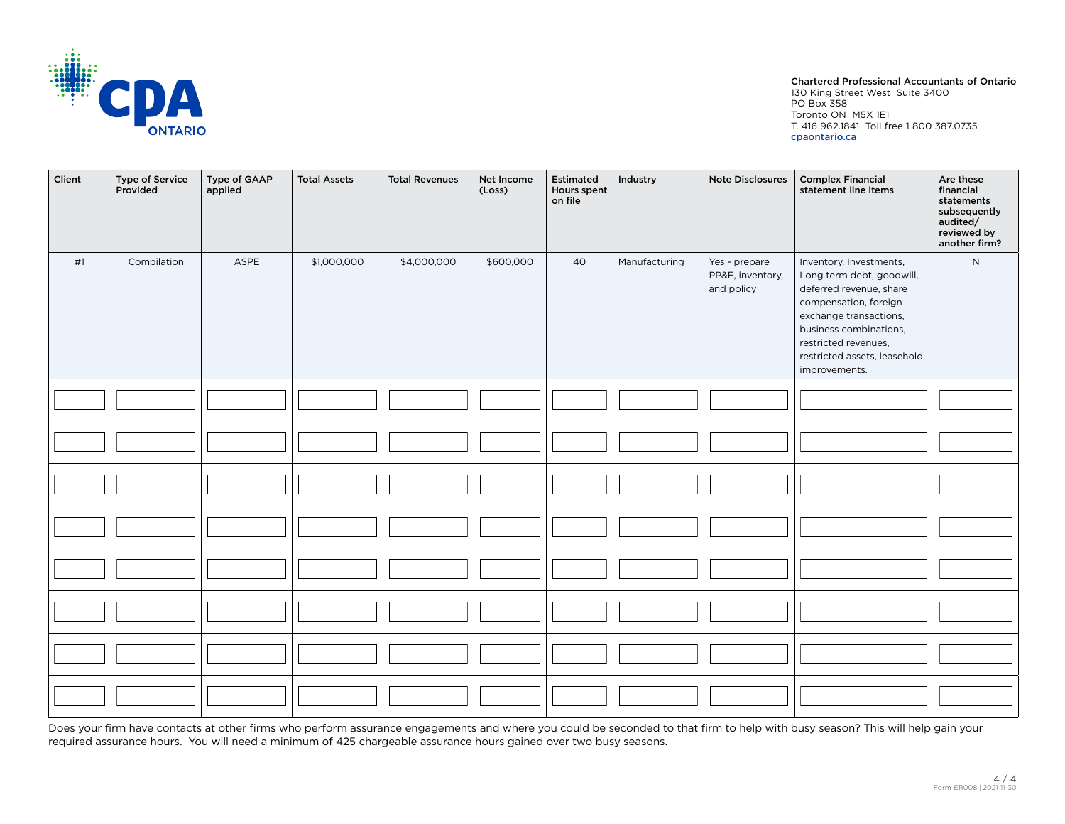

#### Chartered Professional Accountants of Ontario

130 King Street West Suite 3400 PO Box 358 Toronto ON M5X 1E1 T. 416 962.1841 Toll free 1 800 387.0735 cpaontario.ca

| Client | <b>Type of Service</b><br>Provided | Type of GAAP<br>applied | <b>Total Assets</b> | <b>Total Revenues</b> | Net Income<br>(Loss) | Estimated<br>Hours spent<br>on file | Industry      | <b>Note Disclosures</b>                         | <b>Complex Financial</b><br>statement line items                                                                                                                                                                                      | Are these<br>financial<br>statements<br>subsequently<br>audited/<br>reviewed by<br>another firm? |
|--------|------------------------------------|-------------------------|---------------------|-----------------------|----------------------|-------------------------------------|---------------|-------------------------------------------------|---------------------------------------------------------------------------------------------------------------------------------------------------------------------------------------------------------------------------------------|--------------------------------------------------------------------------------------------------|
| #1     | Compilation                        | ASPE                    | \$1,000,000         | \$4,000,000           | \$600,000            | 40                                  | Manufacturing | Yes - prepare<br>PP&E, inventory,<br>and policy | Inventory, Investments,<br>Long term debt, goodwill,<br>deferred revenue, share<br>compensation, foreign<br>exchange transactions,<br>business combinations,<br>restricted revenues,<br>restricted assets, leasehold<br>improvements. | $\mathsf{N}$                                                                                     |
|        |                                    |                         |                     |                       |                      |                                     |               |                                                 |                                                                                                                                                                                                                                       |                                                                                                  |
|        |                                    |                         |                     |                       |                      |                                     |               |                                                 |                                                                                                                                                                                                                                       |                                                                                                  |
|        |                                    |                         |                     |                       |                      |                                     |               |                                                 |                                                                                                                                                                                                                                       |                                                                                                  |
|        |                                    |                         |                     |                       |                      |                                     |               |                                                 |                                                                                                                                                                                                                                       |                                                                                                  |
|        |                                    |                         |                     |                       |                      |                                     |               |                                                 |                                                                                                                                                                                                                                       |                                                                                                  |
|        |                                    |                         |                     |                       |                      |                                     |               |                                                 |                                                                                                                                                                                                                                       |                                                                                                  |
|        |                                    |                         |                     |                       |                      |                                     |               |                                                 |                                                                                                                                                                                                                                       |                                                                                                  |
|        |                                    |                         |                     |                       |                      |                                     |               |                                                 |                                                                                                                                                                                                                                       |                                                                                                  |

Does your firm have contacts at other firms who perform assurance engagements and where you could be seconded to that firm to help with busy season? This will help gain your required assurance hours. You will need a minimum of 425 chargeable assurance hours gained over two busy seasons.